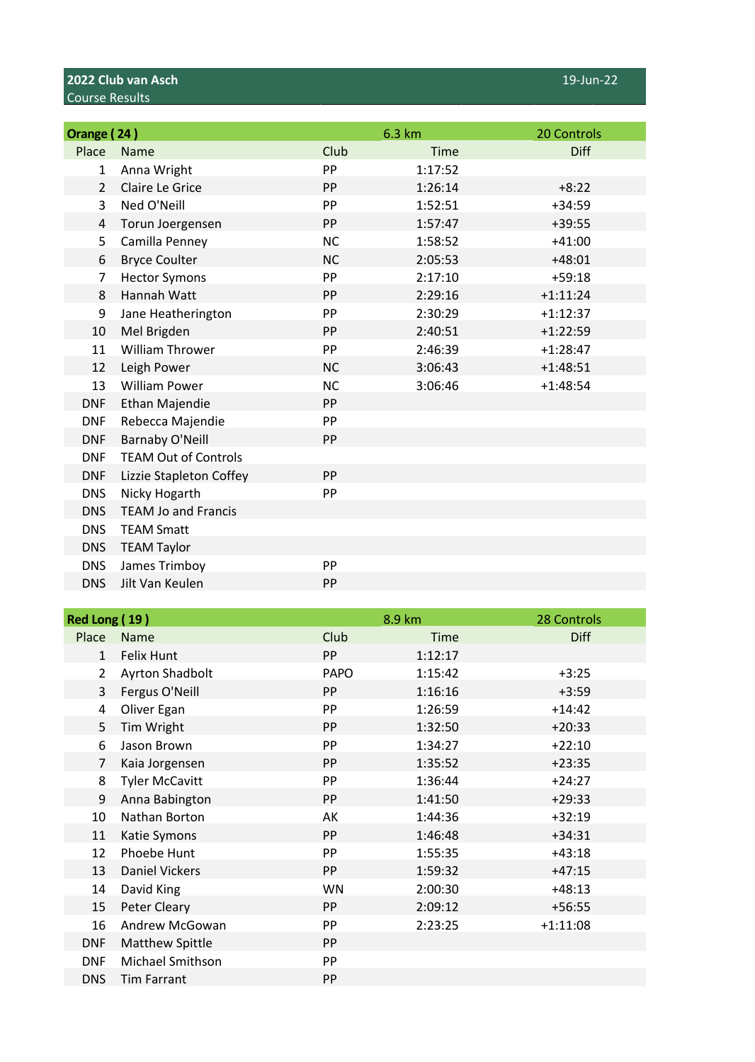## **2022 Club van Asch** 19-Jun-22 Course Results

| Orange (24)    |                             |           | 6.3 km      | 20 Controls |
|----------------|-----------------------------|-----------|-------------|-------------|
| Place          | Name                        | Club      | <b>Time</b> | Diff        |
| 1              | Anna Wright                 | PP        | 1:17:52     |             |
| $\overline{2}$ | Claire Le Grice             | <b>PP</b> | 1:26:14     | $+8:22$     |
| 3              | Ned O'Neill                 | PP        | 1:52:51     | $+34:59$    |
| 4              | Torun Joergensen            | <b>PP</b> | 1:57:47     | $+39:55$    |
| 5              | Camilla Penney              | <b>NC</b> | 1:58:52     | $+41:00$    |
| 6              | <b>Bryce Coulter</b>        | <b>NC</b> | 2:05:53     | $+48:01$    |
| 7              | <b>Hector Symons</b>        | PP        | 2:17:10     | $+59:18$    |
| 8              | Hannah Watt                 | <b>PP</b> | 2:29:16     | $+1:11:24$  |
| 9              | Jane Heatherington          | PP        | 2:30:29     | $+1:12:37$  |
| 10             | Mel Brigden                 | <b>PP</b> | 2:40:51     | $+1:22:59$  |
| 11             | <b>William Thrower</b>      | PP        | 2:46:39     | $+1:28:47$  |
| 12             | Leigh Power                 | <b>NC</b> | 3:06:43     | $+1:48:51$  |
| 13             | <b>William Power</b>        | <b>NC</b> | 3:06:46     | $+1:48:54$  |
| <b>DNF</b>     | Ethan Majendie              | <b>PP</b> |             |             |
| <b>DNF</b>     | Rebecca Majendie            | PP        |             |             |
| <b>DNF</b>     | <b>Barnaby O'Neill</b>      | <b>PP</b> |             |             |
| <b>DNF</b>     | <b>TEAM Out of Controls</b> |           |             |             |
| <b>DNF</b>     | Lizzie Stapleton Coffey     | <b>PP</b> |             |             |
| <b>DNS</b>     | Nicky Hogarth               | PP        |             |             |
| <b>DNS</b>     | <b>TEAM Jo and Francis</b>  |           |             |             |
| <b>DNS</b>     | <b>TEAM Smatt</b>           |           |             |             |
| <b>DNS</b>     | <b>TEAM Taylor</b>          |           |             |             |
| <b>DNS</b>     | James Trimboy               | PP        |             |             |
| <b>DNS</b>     | Jilt Van Keulen             | PP        |             |             |

| Red Long (19)  |                        |             | 8.9 km      | 28 Controls |
|----------------|------------------------|-------------|-------------|-------------|
| Place          | <b>Name</b>            | Club        | <b>Time</b> | <b>Diff</b> |
| $\mathbf{1}$   | <b>Felix Hunt</b>      | <b>PP</b>   | 1:12:17     |             |
| $\overline{2}$ | <b>Ayrton Shadbolt</b> | <b>PAPO</b> | 1:15:42     | $+3:25$     |
| 3              | Fergus O'Neill         | <b>PP</b>   | 1:16:16     | $+3:59$     |
| 4              | Oliver Egan            | PP          | 1:26:59     | $+14:42$    |
| 5              | Tim Wright             | <b>PP</b>   | 1:32:50     | $+20:33$    |
| 6              | Jason Brown            | <b>PP</b>   | 1:34:27     | $+22:10$    |
| 7              | Kaia Jorgensen         | <b>PP</b>   | 1:35:52     | $+23:35$    |
| 8              | <b>Tyler McCavitt</b>  | PP          | 1:36:44     | $+24:27$    |
| 9              | Anna Babington         | <b>PP</b>   | 1:41:50     | $+29:33$    |
| 10             | Nathan Borton          | АK          | 1:44:36     | $+32:19$    |
| 11             | Katie Symons           | <b>PP</b>   | 1:46:48     | $+34:31$    |
| 12             | Phoebe Hunt            | <b>PP</b>   | 1:55:35     | $+43:18$    |
| 13             | <b>Daniel Vickers</b>  | <b>PP</b>   | 1:59:32     | $+47:15$    |
| 14             | David King             | WN          | 2:00:30     | $+48:13$    |
| 15             | Peter Cleary           | <b>PP</b>   | 2:09:12     | $+56:55$    |
| 16             | Andrew McGowan         | PP          | 2:23:25     | $+1:11:08$  |
| <b>DNF</b>     | <b>Matthew Spittle</b> | <b>PP</b>   |             |             |
| <b>DNF</b>     | Michael Smithson       | PP          |             |             |
| <b>DNS</b>     | <b>Tim Farrant</b>     | PP          |             |             |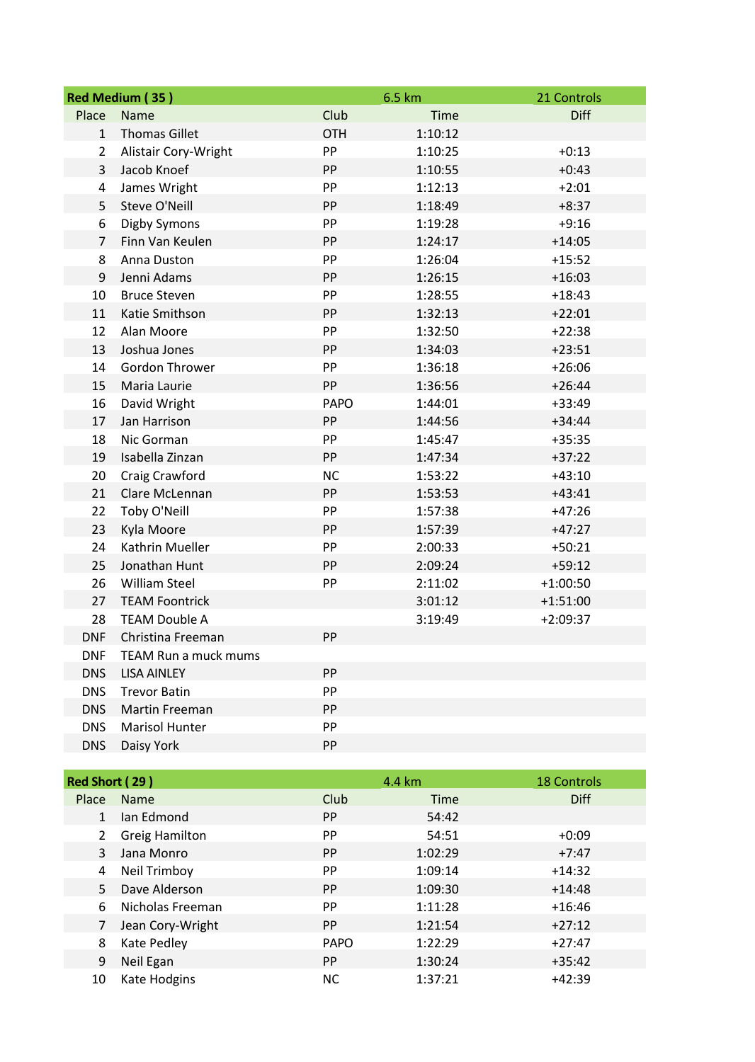| Red Medium (35) |                       |             | 6.5 km      | 21 Controls |
|-----------------|-----------------------|-------------|-------------|-------------|
| Place           | Name                  | Club        | <b>Time</b> | <b>Diff</b> |
| $\mathbf{1}$    | <b>Thomas Gillet</b>  | <b>OTH</b>  | 1:10:12     |             |
| $\overline{2}$  | Alistair Cory-Wright  | PP          | 1:10:25     | $+0:13$     |
| 3               | Jacob Knoef           | PP          | 1:10:55     | $+0:43$     |
| 4               | James Wright          | PP          | 1:12:13     | $+2:01$     |
| 5               | Steve O'Neill         | PP          | 1:18:49     | $+8:37$     |
| 6               | Digby Symons          | PP          | 1:19:28     | $+9:16$     |
| $\overline{7}$  | Finn Van Keulen       | PP          | 1:24:17     | $+14:05$    |
| 8               | Anna Duston           | PP          | 1:26:04     | $+15:52$    |
| 9               | Jenni Adams           | PP          | 1:26:15     | $+16:03$    |
| 10              | <b>Bruce Steven</b>   | PP          | 1:28:55     | $+18:43$    |
| 11              | Katie Smithson        | PP          | 1:32:13     | $+22:01$    |
| 12              | Alan Moore            | PP          | 1:32:50     | $+22:38$    |
| 13              | Joshua Jones          | PP          | 1:34:03     | $+23:51$    |
| 14              | Gordon Thrower        | PP          | 1:36:18     | $+26:06$    |
| 15              | Maria Laurie          | PP          | 1:36:56     | $+26:44$    |
| 16              | David Wright          | <b>PAPO</b> | 1:44:01     | $+33:49$    |
| 17              | Jan Harrison          | PP          | 1:44:56     | $+34:44$    |
| 18              | Nic Gorman            | PP          | 1:45:47     | $+35:35$    |
| 19              | Isabella Zinzan       | PP          | 1:47:34     | $+37:22$    |
| 20              | Craig Crawford        | <b>NC</b>   | 1:53:22     | $+43:10$    |
| 21              | Clare McLennan        | PP          | 1:53:53     | $+43:41$    |
| 22              | Toby O'Neill          | PP          | 1:57:38     | $+47:26$    |
| 23              | Kyla Moore            | PP          | 1:57:39     | $+47:27$    |
| 24              | Kathrin Mueller       | PP          | 2:00:33     | $+50:21$    |
| 25              | Jonathan Hunt         | PP          | 2:09:24     | $+59:12$    |
| 26              | <b>William Steel</b>  | PP          | 2:11:02     | $+1:00:50$  |
| 27              | <b>TEAM Foontrick</b> |             | 3:01:12     | $+1:51:00$  |
| 28              | <b>TEAM Double A</b>  |             | 3:19:49     | $+2:09:37$  |
| <b>DNF</b>      | Christina Freeman     | PP          |             |             |
| <b>DNF</b>      | TEAM Run a muck mums  |             |             |             |
| <b>DNS</b>      | <b>LISA AINLEY</b>    | PP          |             |             |
| <b>DNS</b>      | <b>Trevor Batin</b>   | PP          |             |             |
| <b>DNS</b>      | Martin Freeman        | PP          |             |             |
| <b>DNS</b>      | Marisol Hunter        | PP          |             |             |
| <b>DNS</b>      | Daisy York            | PP          |             |             |

| Red Short (29) |                       | 4.4 km      |             | <b>18 Controls</b> |
|----------------|-----------------------|-------------|-------------|--------------------|
| Place          | <b>Name</b>           | Club        | <b>Time</b> | <b>Diff</b>        |
| $\mathbf{1}$   | Jan Edmond            | PP.         | 54:42       |                    |
| $2^{\circ}$    | <b>Greig Hamilton</b> | <b>PP</b>   | 54:51       | $+0:09$            |
| 3              | Jana Monro            | <b>PP</b>   | 1:02:29     | $+7:47$            |
| 4              | Neil Trimboy          | <b>PP</b>   | 1:09:14     | $+14:32$           |
| 5.             | Dave Alderson         | <b>PP</b>   | 1:09:30     | $+14:48$           |
| 6              | Nicholas Freeman      | PP.         | 1:11:28     | $+16:46$           |
| 7              | Jean Cory-Wright      | PP.         | 1:21:54     | $+27:12$           |
| 8              | Kate Pedley           | <b>PAPO</b> | 1:22:29     | $+27:47$           |
| 9              | Neil Egan             | PP.         | 1:30:24     | $+35:42$           |
| 10             | Kate Hodgins          | ΝC          | 1:37:21     | $+42:39$           |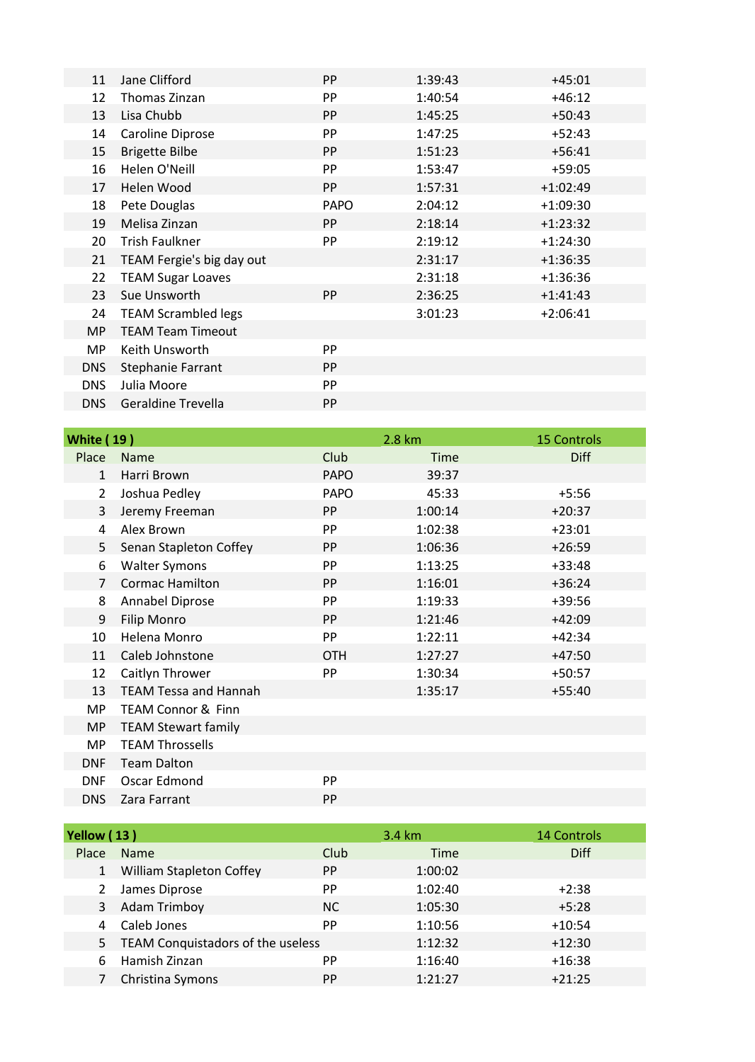| 11         | Jane Clifford              | <b>PP</b>   | 1:39:43 | $+45:01$   |
|------------|----------------------------|-------------|---------|------------|
| 12         | Thomas Zinzan              | PP          | 1:40:54 | $+46:12$   |
| 13         | Lisa Chubb                 | <b>PP</b>   | 1:45:25 | $+50:43$   |
| 14         | Caroline Diprose           | <b>PP</b>   | 1:47:25 | $+52:43$   |
| 15         | <b>Brigette Bilbe</b>      | <b>PP</b>   | 1:51:23 | $+56:41$   |
| 16         | Helen O'Neill              | PP          | 1:53:47 | $+59:05$   |
| 17         | Helen Wood                 | <b>PP</b>   | 1:57:31 | $+1:02:49$ |
| 18         | Pete Douglas               | <b>PAPO</b> | 2:04:12 | $+1:09:30$ |
| 19         | Melisa Zinzan              | <b>PP</b>   | 2:18:14 | $+1:23:32$ |
| 20         | <b>Trish Faulkner</b>      | PP          | 2:19:12 | $+1:24:30$ |
| 21         | TEAM Fergie's big day out  |             | 2:31:17 | $+1:36:35$ |
| 22         | <b>TEAM Sugar Loaves</b>   |             | 2:31:18 | $+1:36:36$ |
| 23         | Sue Unsworth               | <b>PP</b>   | 2:36:25 | $+1:41:43$ |
| 24         | <b>TEAM Scrambled legs</b> |             | 3:01:23 | $+2:06:41$ |
| <b>MP</b>  | <b>TEAM Team Timeout</b>   |             |         |            |
| <b>MP</b>  | Keith Unsworth             | PP          |         |            |
| <b>DNS</b> | Stephanie Farrant          | <b>PP</b>   |         |            |
| <b>DNS</b> | Julia Moore                | PP          |         |            |
| <b>DNS</b> | <b>Geraldine Trevella</b>  | PP          |         |            |

| <b>White (19)</b> |                               |             | 2.8 km      | <b>15 Controls</b> |
|-------------------|-------------------------------|-------------|-------------|--------------------|
| Place             | <b>Name</b>                   | Club        | <b>Time</b> | <b>Diff</b>        |
| $\mathbf{1}$      | Harri Brown                   | <b>PAPO</b> | 39:37       |                    |
| $\overline{2}$    | Joshua Pedley                 | <b>PAPO</b> | 45:33       | $+5:56$            |
| 3                 | Jeremy Freeman                | PP          | 1:00:14     | $+20:37$           |
| 4                 | Alex Brown                    | PP          | 1:02:38     | $+23:01$           |
| 5                 | Senan Stapleton Coffey        | <b>PP</b>   | 1:06:36     | $+26:59$           |
| 6                 | <b>Walter Symons</b>          | <b>PP</b>   | 1:13:25     | $+33:48$           |
| $\overline{7}$    | <b>Cormac Hamilton</b>        | <b>PP</b>   | 1:16:01     | $+36:24$           |
| 8                 | Annabel Diprose               | PP          | 1:19:33     | $+39:56$           |
| 9                 | <b>Filip Monro</b>            | <b>PP</b>   | 1:21:46     | $+42:09$           |
| 10                | Helena Monro                  | PP          | 1:22:11     | $+42:34$           |
| 11                | Caleb Johnstone               | <b>OTH</b>  | 1:27:27     | $+47:50$           |
| 12                | Caitlyn Thrower               | PP          | 1:30:34     | +50:57             |
| 13                | <b>TEAM Tessa and Hannah</b>  |             | 1:35:17     | $+55:40$           |
| MP                | <b>TEAM Connor &amp; Finn</b> |             |             |                    |
| <b>MP</b>         | <b>TEAM Stewart family</b>    |             |             |                    |
| <b>MP</b>         | <b>TEAM Throssells</b>        |             |             |                    |
| <b>DNF</b>        | <b>Team Dalton</b>            |             |             |                    |
| <b>DNF</b>        | Oscar Edmond                  | PP          |             |                    |
| <b>DNS</b>        | Zara Farrant                  | <b>PP</b>   |             |                    |

| Yellow (13) |                                   |           | 3.4 km      | <b>14 Controls</b> |
|-------------|-----------------------------------|-----------|-------------|--------------------|
| Place       | <b>Name</b>                       | Club      | <b>Time</b> | <b>Diff</b>        |
|             | William Stapleton Coffey          | <b>PP</b> | 1:00:02     |                    |
|             | James Diprose                     | <b>PP</b> | 1:02:40     | $+2:38$            |
| 3           | <b>Adam Trimboy</b>               | <b>NC</b> | 1:05:30     | $+5:28$            |
|             | Caleb Jones                       | <b>PP</b> | 1:10:56     | $+10:54$           |
| 5.          | TEAM Conquistadors of the useless |           | 1:12:32     | $+12:30$           |
| 6           | Hamish Zinzan                     | PP        | 1:16:40     | $+16:38$           |
|             | Christina Symons                  | <b>PP</b> | 1:21:27     | $+21:25$           |